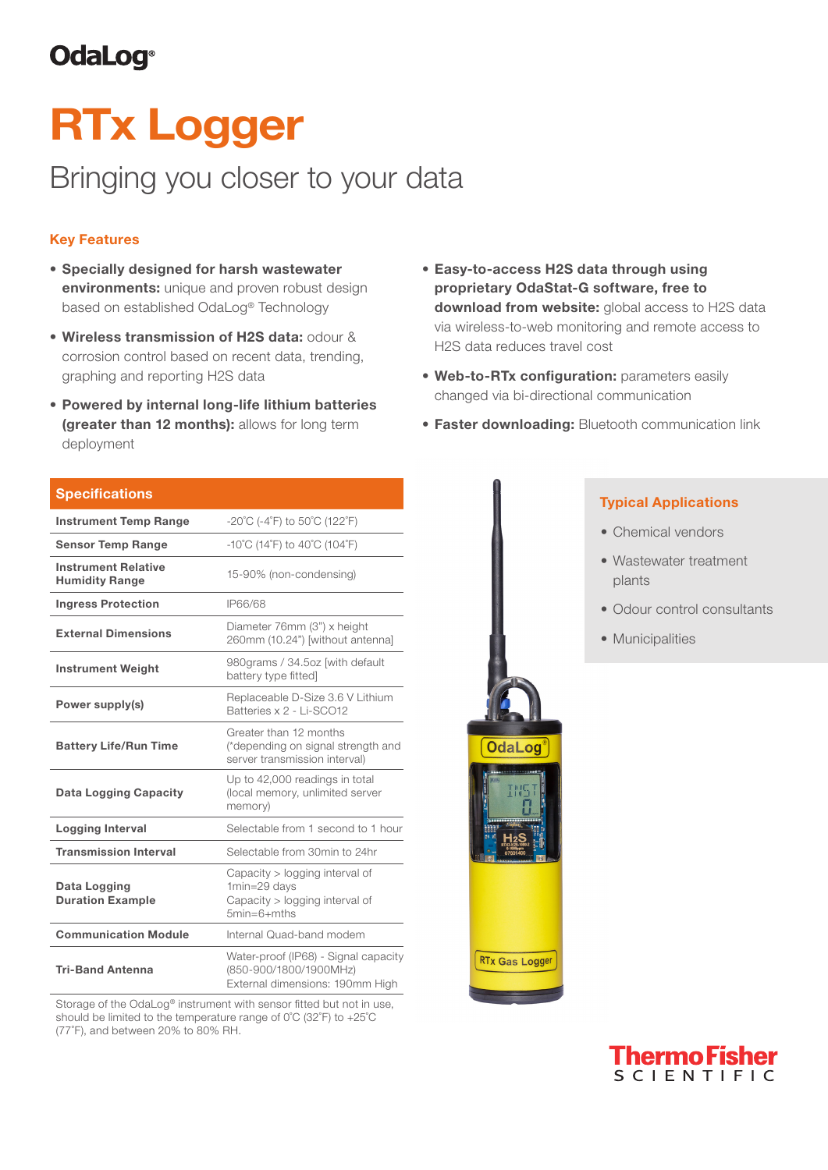# **OdaLog**®

# RTx Logger

# Bringing you closer to your data

## Key Features

- Specially designed for harsh wastewater environments: unique and proven robust design based on established OdaLog® Technology
- Wireless transmission of H2S data: odour & corrosion control based on recent data, trending, graphing and reporting H2S data
- Powered by internal long-life lithium batteries (greater than 12 months): allows for long term deployment
- **Specifications Instrument Temp Range**  $-20^{\circ}C$  (-4 $^{\circ}F$ ) to 50 $^{\circ}C$  (122 $^{\circ}F$ ) Sensor Temp Range  $-10^{\circ}C(14^{\circ}F)$  to  $40^{\circ}C(104^{\circ}F)$ Instrument Relative Humidity Range 15-90% (non-condensing) Ingress Protection IP66/68 External Dimensions Diameter 76mm (3") x height 260mm (10.24") [without antenna] Instrument Weight 980grams / 34.5oz [with default battery type fitted] **Power supply(s)** Replaceable D-Size 3.6 V Lithium Batteries x 2 - Li-SCO12 Battery Life/Run Time Greater than 12 months (\*depending on signal strength and server transmission interval) Data Logging Capacity Up to 42,000 readings in total (local memory, unlimited server memory) Logging Interval Selectable from 1 second to 1 hour **Transmission Interval** Selectable from 30min to 24hr Data Logging Duration Example Capacity > logging interval of 1min=29 days Capacity > logging interval of 5min=6+mths **Communication Module** Internal Quad-band modem Tri-Band Antenna Water-proof (IP68) - Signal capacity (850-900/1800/1900MHz) External dimensions: 190mm High

Storage of the OdaLog® instrument with sensor fitted but not in use, should be limited to the temperature range of 0˚C (32˚F) to +25˚C (77˚F), and between 20% to 80% RH.

- Easy-to-access H2S data through using proprietary OdaStat-G software, free to download from website: global access to H2S data via wireless-to-web monitoring and remote access to H2S data reduces travel cost
- Web-to-RTx configuration: parameters easily changed via bi-directional communication
- **Faster downloading: Bluetooth communication link**

### • Chemical vendors Typical Applications

- Wastewater treatment plants
- Odour control consultants
- Municipalities